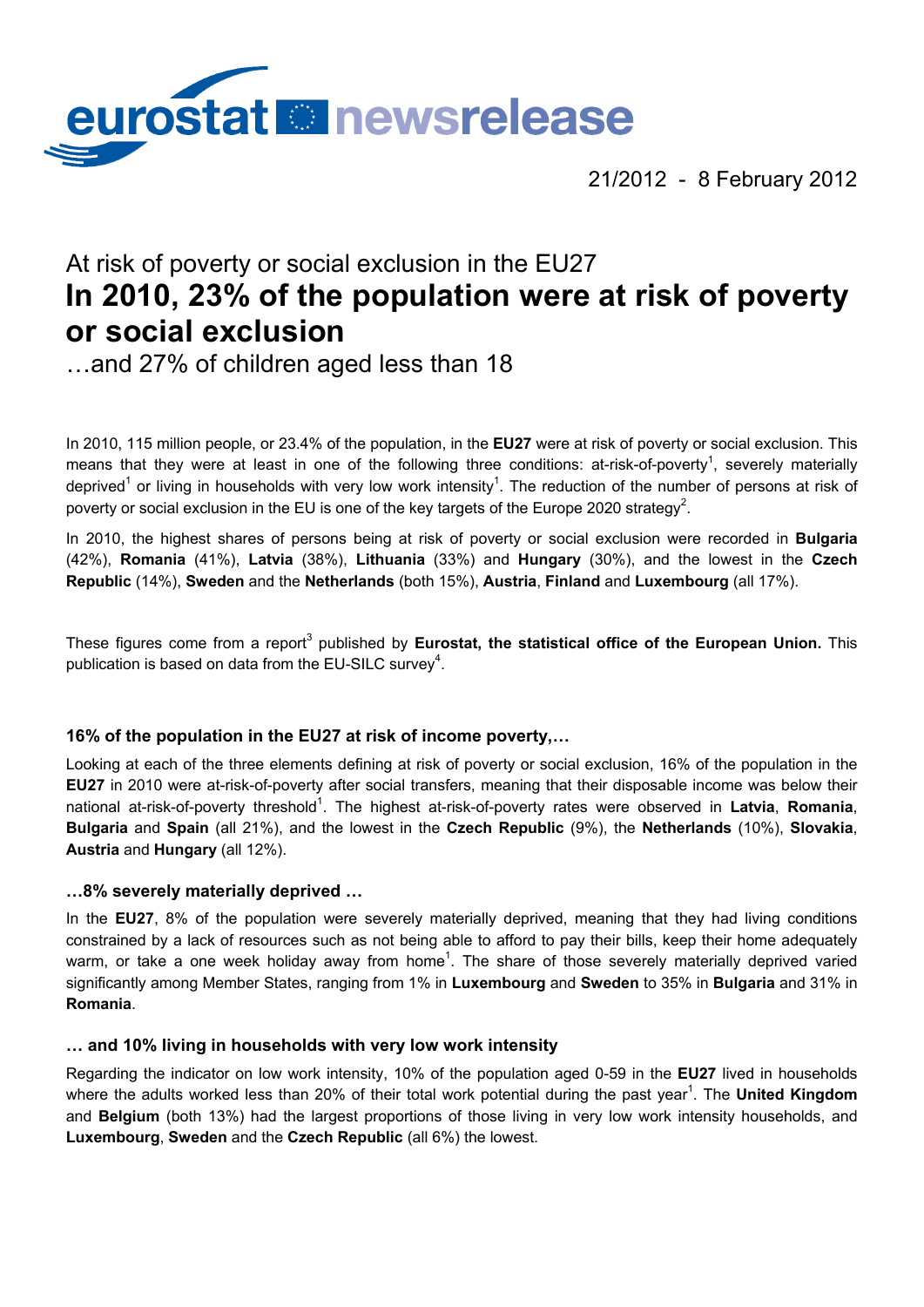

21/2012 - 8 February 2012

# At risk of poverty or social exclusion in the EU27 **In 2010, 23% of the population were at risk of poverty or social exclusion**

…and 27% of children aged less than 18

In 2010, 115 million people, or 23.4% of the population, in the **EU27** were at risk of poverty or social exclusion. This means that they were at least in one of the following three conditions: at-risk-of-poverty<sup>1</sup>, severely materially deprived<sup>1</sup> or living in households with very low work intensity<sup>1</sup>. The reduction of the number of persons at risk of poverty or social exclusion in the EU is one of the key targets of the Europe 2020 strategy<sup>2</sup>.

In 2010, the highest shares of persons being at risk of poverty or social exclusion were recorded in **Bulgaria**  (42%), **Romania** (41%), **Latvia** (38%), **Lithuania** (33%) and **Hungary** (30%), and the lowest in the **Czech Republic** (14%), **Sweden** and the **Netherlands** (both 15%), **Austria**, **Finland** and **Luxembourg** (all 17%).

These figures come from a report<sup>3</sup> published by Eurostat, the statistical office of the European Union. This publication is based on data from the EU-SILC survey<sup>4</sup>.

# **16% of the population in the EU27 at risk of income poverty,…**

Looking at each of the three elements defining at risk of poverty or social exclusion, 16% of the population in the **EU27** in 2010 were at-risk-of-poverty after social transfers, meaning that their disposable income was below their national at-risk-of-poverty threshold<sup>1</sup>. The highest at-risk-of-poverty rates were observed in Latvia, Romania, **Bulgaria** and **Spain** (all 21%), and the lowest in the **Czech Republic** (9%), the **Netherlands** (10%), **Slovakia**, **Austria** and **Hungary** (all 12%).

# **…8% severely materially deprived …**

In the **EU27**, 8% of the population were severely materially deprived, meaning that they had living conditions constrained by a lack of resources such as not being able to afford to pay their bills, keep their home adequately warm, or take a one week holiday away from home<sup>1</sup>. The share of those severely materially deprived varied significantly among Member States, ranging from 1% in **Luxembourg** and **Sweden** to 35% in **Bulgaria** and 31% in **Romania**.

## **… and 10% living in households with very low work intensity**

Regarding the indicator on low work intensity, 10% of the population aged 0-59 in the **EU27** lived in households where the adults worked less than 20% of their total work potential during the past year<sup>1</sup>. The **United Kingdom** and **Belgium** (both 13%) had the largest proportions of those living in very low work intensity households, and **Luxembourg**, **Sweden** and the **Czech Republic** (all 6%) the lowest.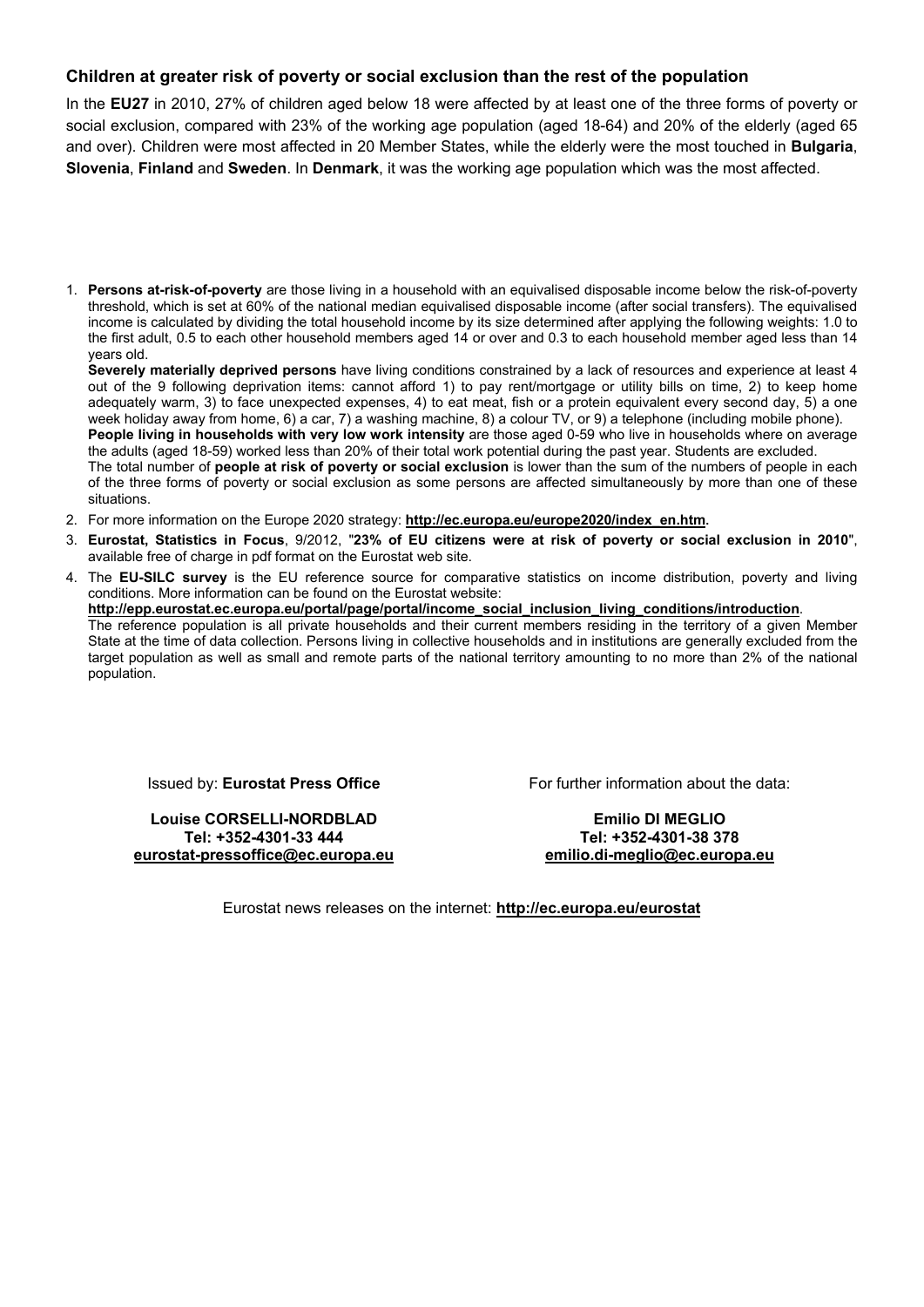### **Children at greater risk of poverty or social exclusion than the rest of the population**

In the **EU27** in 2010, 27% of children aged below 18 were affected by at least one of the three forms of poverty or social exclusion, compared with 23% of the working age population (aged 18-64) and 20% of the elderly (aged 65 and over). Children were most affected in 20 Member States, while the elderly were the most touched in **Bulgaria**, **Slovenia**, **Finland** and **Sweden**. In **Denmark**, it was the working age population which was the most affected.

1. **Persons at-risk-of-poverty** are those living in a household with an equivalised disposable income below the risk-of-poverty threshold, which is set at 60% of the national median equivalised disposable income (after social transfers). The equivalised income is calculated by dividing the total household income by its size determined after applying the following weights: 1.0 to the first adult, 0.5 to each other household members aged 14 or over and 0.3 to each household member aged less than 14 years old.

**Severely materially deprived persons** have living conditions constrained by a lack of resources and experience at least 4 out of the 9 following deprivation items: cannot afford 1) to pay rent/mortgage or utility bills on time, 2) to keep home adequately warm, 3) to face unexpected expenses, 4) to eat meat, fish or a protein equivalent every second day, 5) a one week holiday away from home, 6) a car, 7) a washing machine, 8) a colour TV, or 9) a telephone (including mobile phone).

**People living in households with very low work intensity** are those aged 0-59 who live in households where on average the adults (aged 18-59) worked less than 20% of their total work potential during the past year. Students are excluded.

The total number of **people at risk of poverty or social exclusion** is lower than the sum of the numbers of people in each of the three forms of poverty or social exclusion as some persons are affected simultaneously by more than one of these situations.

- 2. For more information on the Europe 2020 strategy: **[http://ec.europa.eu/europe2020/index\\_en.htm.](http://ec.europa.eu/europe2020/index_en.htm)**
- 3. **Eurostat, Statistics in Focus**, 9/2012, "**23% of EU citizens were at risk of poverty or social exclusion in 2010**", available free of charge in pdf format on the Eurostat web site.
- 4. The **EU-SILC survey** is the EU reference source for comparative statistics on income distribution, poverty and living conditions. More information can be found on the Eurostat website: **[http://epp.eurostat.ec.europa.eu/portal/page/portal/income\\_social\\_inclusion\\_living\\_conditions/introduction](http://epp.eurostat.ec.europa.eu/portal/page/portal/income_social_inclusion_living_conditions/introduction)**. The reference population is all private households and their current members residing in the territory of a given Member State at the time of data collection. Persons living in collective households and in institutions are generally excluded from the target population as well as small and remote parts of the national territory amounting to no more than 2% of the national population.

Issued by: **Eurostat Press Office** 

**Louise CORSELLI-NORDBLAD Tel: +352-4301-33 444 [eurostat-pressoffice@ec.europa.eu](mailto:eurostat-pressoffice@ec.europa.eu)** For further information about the data:

**Emilio DI MEGLIO Tel: +352-4301-38 378 [emilio.di-meglio@ec.europa.eu](mailto:emilio.di-meglio@ec.europa.eu)**

Eurostat news releases on the internet: **<http://ec.europa.eu/eurostat>**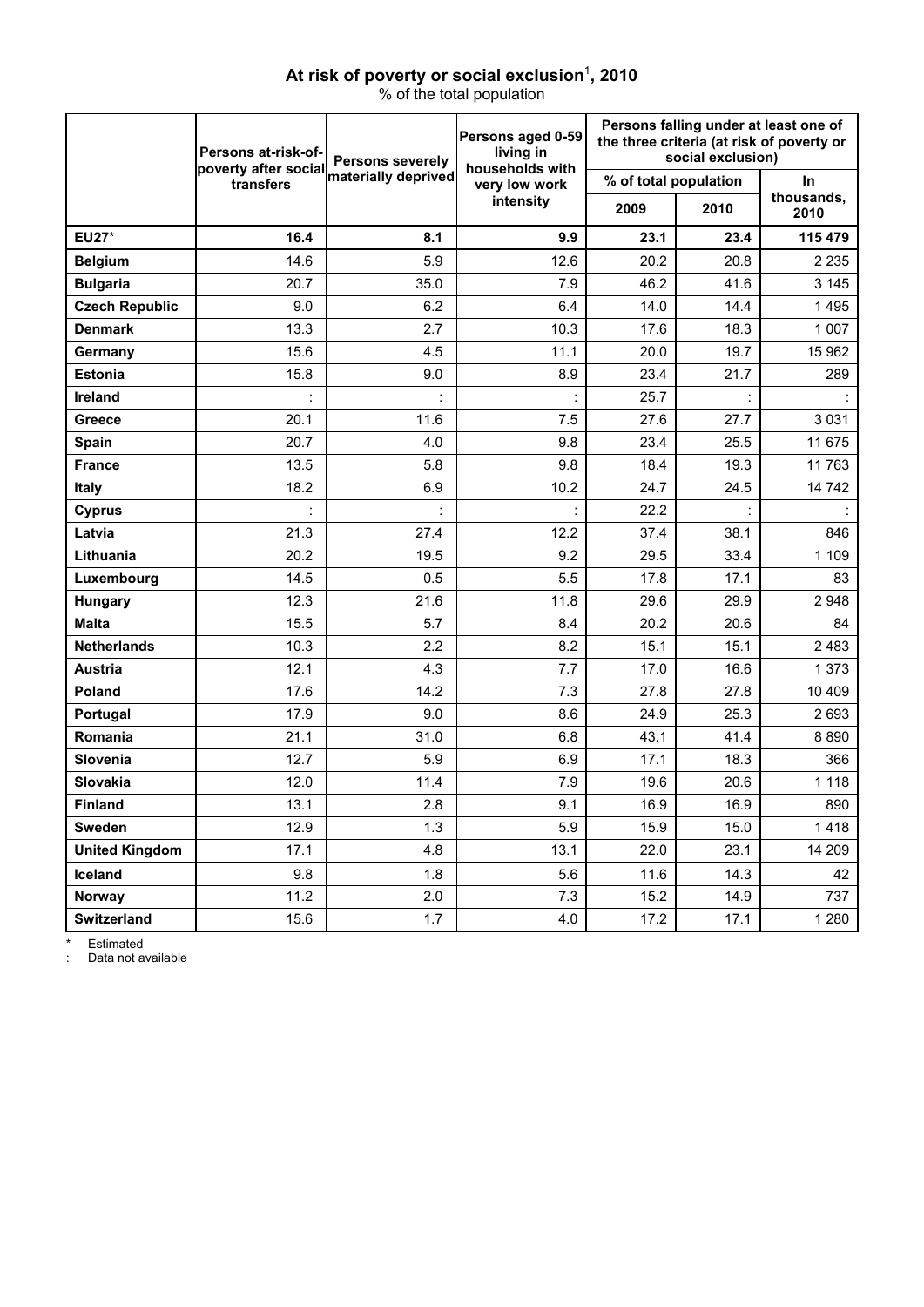## At risk of poverty or social exclusion<sup>1</sup>, 2010

% of the total population

|                       | Persons at-risk-of-<br>poverty after social | <b>Persons severely</b> | Persons aged 0-59<br>living in<br>households with | Persons falling under at least one of<br>the three criteria (at risk of poverty or<br>social exclusion) |      |                    |
|-----------------------|---------------------------------------------|-------------------------|---------------------------------------------------|---------------------------------------------------------------------------------------------------------|------|--------------------|
|                       | transfers                                   | materially deprived     | very low work                                     | % of total population                                                                                   |      | In.                |
|                       |                                             |                         | intensity                                         | 2009                                                                                                    | 2010 | thousands,<br>2010 |
| <b>EU27*</b>          | 16.4                                        | 8.1                     | 9.9                                               | 23.1                                                                                                    | 23.4 | 115 479            |
| <b>Belgium</b>        | 14.6                                        | 5.9                     | 12.6                                              | 20.2                                                                                                    | 20.8 | 2 2 3 5            |
| <b>Bulgaria</b>       | 20.7                                        | 35.0                    | 7.9                                               | 46.2                                                                                                    | 41.6 | 3 1 4 5            |
| <b>Czech Republic</b> | 9.0                                         | 6.2                     | 6.4                                               | 14.0                                                                                                    | 14.4 | 1495               |
| <b>Denmark</b>        | 13.3                                        | 2.7                     | 10.3                                              | 17.6                                                                                                    | 18.3 | 1 0 0 7            |
| Germany               | 15.6                                        | 4.5                     | 11.1                                              | 20.0                                                                                                    | 19.7 | 15 962             |
| <b>Estonia</b>        | 15.8                                        | 9.0                     | 8.9                                               | 23.4                                                                                                    | 21.7 | 289                |
| Ireland               | t                                           |                         |                                                   | 25.7                                                                                                    |      |                    |
| <b>Greece</b>         | 20.1                                        | 11.6                    | 7.5                                               | 27.6                                                                                                    | 27.7 | 3 0 3 1            |
| Spain                 | 20.7                                        | 4.0                     | 9.8                                               | 23.4                                                                                                    | 25.5 | 11 675             |
| <b>France</b>         | 13.5                                        | 5.8                     | 9.8                                               | 18.4                                                                                                    | 19.3 | 11 763             |
| <b>Italy</b>          | 18.2                                        | 6.9                     | 10.2                                              | 24.7                                                                                                    | 24.5 | 14 742             |
| <b>Cyprus</b>         |                                             |                         |                                                   | 22.2                                                                                                    |      |                    |
| Latvia                | 21.3                                        | 27.4                    | 12.2                                              | 37.4                                                                                                    | 38.1 | 846                |
| Lithuania             | 20.2                                        | 19.5                    | 9.2                                               | 29.5                                                                                                    | 33.4 | 1 1 0 9            |
| Luxembourg            | 14.5                                        | 0.5                     | 5.5                                               | 17.8                                                                                                    | 17.1 | 83                 |
| Hungary               | 12.3                                        | 21.6                    | 11.8                                              | 29.6                                                                                                    | 29.9 | 2948               |
| <b>Malta</b>          | 15.5                                        | 5.7                     | 8.4                                               | 20.2                                                                                                    | 20.6 | 84                 |
| <b>Netherlands</b>    | 10.3                                        | 2.2                     | 8.2                                               | 15.1                                                                                                    | 15.1 | 2483               |
| <b>Austria</b>        | 12.1                                        | 4.3                     | 7.7                                               | 17.0                                                                                                    | 16.6 | 1 373              |
| Poland                | 17.6                                        | 14.2                    | 7.3                                               | 27.8                                                                                                    | 27.8 | 10 409             |
| Portugal              | 17.9                                        | 9.0                     | 8.6                                               | 24.9                                                                                                    | 25.3 | 2693               |
| Romania               | 21.1                                        | 31.0                    | 6.8                                               | 43.1                                                                                                    | 41.4 | 8890               |
| <b>Slovenia</b>       | 12.7                                        | 5.9                     | 6.9                                               | 17.1                                                                                                    | 18.3 | 366                |
| Slovakia              | 12.0                                        | 11.4                    | 7.9                                               | 19.6                                                                                                    | 20.6 | 1 1 1 8            |
| <b>Finland</b>        | 13.1                                        | 2.8                     | 9.1                                               | 16.9                                                                                                    | 16.9 | 890                |
| Sweden                | 12.9                                        | 1.3                     | 5.9                                               | 15.9                                                                                                    | 15.0 | 1418               |
| <b>United Kingdom</b> | 17.1                                        | 4.8                     | 13.1                                              | 22.0                                                                                                    | 23.1 | 14 209             |
| Iceland               | 9.8                                         | 1.8                     | 5.6                                               | 11.6                                                                                                    | 14.3 | 42                 |
| Norway                | 11.2                                        | 2.0                     | 7.3                                               | 15.2                                                                                                    | 14.9 | 737                |
| Switzerland           | 15.6                                        | 1.7                     | 4.0                                               | 17.2                                                                                                    | 17.1 | 1 2 8 0            |

\* Estimated

: Data not available